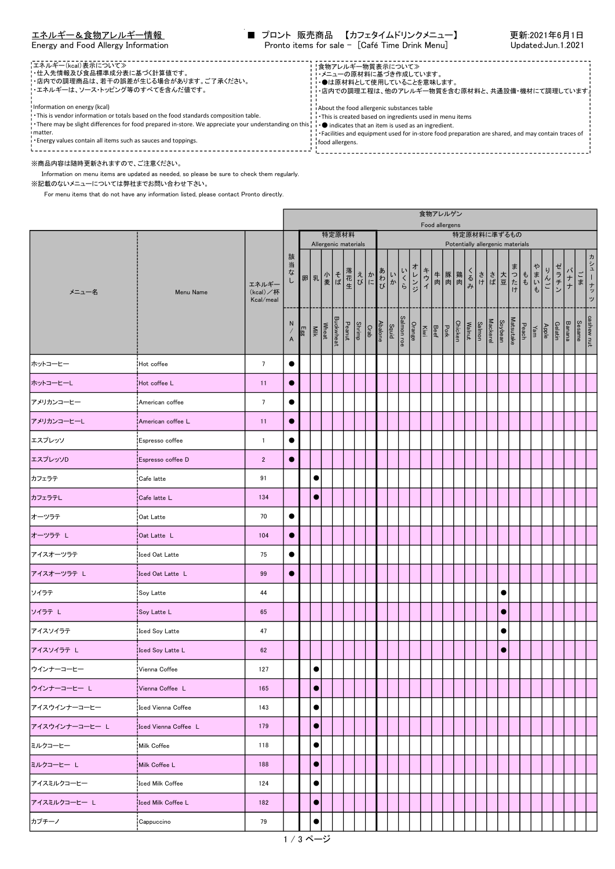|  | エネルギー&食物アレルギー情報 |
|--|-----------------|
|  |                 |

| 【エネルギー(kcal)表示について≫<br>!・仕入先情報及び食品標準成分表に基づく計算値です。<br>!・店内での調理商品は、若干の誤差が生じる場合があります。ご了承ください。<br>!エネルギーは、ソース・トッピング等のすべてを含んだ値です。                                                                                                                                                                                                                                           | !食物アレルギー物質表示について≫<br>・・メニューの原材料に基づき作成しています。<br>・●は原材料として使用していることを意味します。<br>・店内での調理工程は、他のアレルギー物質を含む原材料と、共通設備・機材にて調理しています。                                                                                                         |  |
|------------------------------------------------------------------------------------------------------------------------------------------------------------------------------------------------------------------------------------------------------------------------------------------------------------------------------------------------------------------------|----------------------------------------------------------------------------------------------------------------------------------------------------------------------------------------------------------------------------------|--|
| Information on energy (kcal)<br>. This is vendor information or totals based on the food standards composition table.<br>. There may be slight differences for food prepared in-store. We appreciate your understanding on this, i . ● indicates that an item is used as an ingredient.<br>I matter.<br>. Energy values contain all items such as sauces and toppings. | About the food allergenic substances table<br>This is created based on ingredients used in menu items<br>i *Facilities and equipment used for in-store food preparation are shared, and may contain traces of<br>food allergens. |  |
| ※商品内容は随時更新されますので、ご注意ください。                                                                                                                                                                                                                                                                                                                                              |                                                                                                                                                                                                                                  |  |

Information on menu items are updated as needed, so please be sure to check them regularly.

※記載のないメニューについては弊社までお問い合わせ下さい。

For menu items that do not have any information listed, please contact Pronto directly.

|                |                         |                                |                |                      |                               |                  |                                     |  |                             |                     |     |        | 食物アレルゲン<br>Food allergens                                       |     |     |  |         |                                                 |                                                           |      |     |         |                  |    |                 |
|----------------|-------------------------|--------------------------------|----------------|----------------------|-------------------------------|------------------|-------------------------------------|--|-----------------------------|---------------------|-----|--------|-----------------------------------------------------------------|-----|-----|--|---------|-------------------------------------------------|-----------------------------------------------------------|------|-----|---------|------------------|----|-----------------|
|                |                         |                                |                |                      | 特定原材料<br>Allergenic materials |                  |                                     |  |                             |                     |     |        |                                                                 |     |     |  |         | 特定原材料に準ずるもの<br>Potentially allergenic materials |                                                           |      |     |         |                  |    |                 |
| メニュー名          | Menu Name               | エネルギー<br>(kcal)/杯<br>Kcal/meal | 該<br>当な<br>ı   | 卵乳                   | 小麦ば                           |                  |                                     |  | 落花<br>エイト<br>エイト<br>エイ<br>び | いか                  | いくら | オレンジ   | キウィ                                                             | 牛豚鶏 | くるみ |  |         | さき 大豆 けいしょう しょうたい                               | $\left  \begin{array}{c} 1 \\ 1 \\ 0 \end{array} \right $ | やまいも | りんご | ゼラチン    | バナナ              | ごま | ヵ<br>シューナッ<br>ッ |
|                |                         |                                | N<br>$\lambda$ | Wheat<br>Milk<br>Egg |                               | <b>Buckwheat</b> | Abalone<br>Crab<br>Peanut<br>Peanut |  |                             | Salmon roe<br>Squid |     | Orange | Mackerel<br>Salmon<br>Walnut<br>Ohicken<br>Beef<br>Beef<br>Kiwi |     |     |  | Soybean |                                                 | Apple<br>Yam<br>Peach<br>Matsutake                        |      |     | Gelatin | Sesame<br>Banana |    | cashew nut      |
| ホットコーヒー        | Hot coffee              | $7\overline{ }$                |                |                      |                               |                  |                                     |  |                             |                     |     |        |                                                                 |     |     |  |         |                                                 |                                                           |      |     |         |                  |    |                 |
| ホットコーヒーレ       | Hot coffee L            | 11                             | $\bullet$      |                      |                               |                  |                                     |  |                             |                     |     |        |                                                                 |     |     |  |         |                                                 |                                                           |      |     |         |                  |    |                 |
| アメリカンコーヒー      | American coffee         | $7\phantom{.0}$                | $\bullet$      |                      |                               |                  |                                     |  |                             |                     |     |        |                                                                 |     |     |  |         |                                                 |                                                           |      |     |         |                  |    |                 |
| アメリカンコーヒーL     | American coffee L       | 11                             | $\bullet$      |                      |                               |                  |                                     |  |                             |                     |     |        |                                                                 |     |     |  |         |                                                 |                                                           |      |     |         |                  |    |                 |
| エスプレッソ         | Espresso coffee         | $\mathbf{1}$                   | $\bullet$      |                      |                               |                  |                                     |  |                             |                     |     |        |                                                                 |     |     |  |         |                                                 |                                                           |      |     |         |                  |    |                 |
| エスプレッソD        | Espresso coffee D       | $\overline{2}$                 | $\bullet$      |                      |                               |                  |                                     |  |                             |                     |     |        |                                                                 |     |     |  |         |                                                 |                                                           |      |     |         |                  |    |                 |
| カフェラテ          | Cafe latte              | 91                             |                | $\bullet$            |                               |                  |                                     |  |                             |                     |     |        |                                                                 |     |     |  |         |                                                 |                                                           |      |     |         |                  |    |                 |
| カフェラテレ         | Cafe latte L            | 134                            |                | $\bullet$            |                               |                  |                                     |  |                             |                     |     |        |                                                                 |     |     |  |         |                                                 |                                                           |      |     |         |                  |    |                 |
| オーツラテ          | Oat Latte               | 70                             | $\bullet$      |                      |                               |                  |                                     |  |                             |                     |     |        |                                                                 |     |     |  |         |                                                 |                                                           |      |     |         |                  |    |                 |
| オーツラテ L        | Oat Latte L             | 104                            | $\bullet$      |                      |                               |                  |                                     |  |                             |                     |     |        |                                                                 |     |     |  |         |                                                 |                                                           |      |     |         |                  |    |                 |
| アイスオーツラテ       | Iced Oat Latte          | 75                             | $\bullet$      |                      |                               |                  |                                     |  |                             |                     |     |        |                                                                 |     |     |  |         |                                                 |                                                           |      |     |         |                  |    |                 |
| アイスオーツラテ L     | Iced Oat Latte L        | 99                             | $\bullet$      |                      |                               |                  |                                     |  |                             |                     |     |        |                                                                 |     |     |  |         |                                                 |                                                           |      |     |         |                  |    |                 |
| ソイラテ           | Soy Latte               | 44                             |                |                      |                               |                  |                                     |  |                             |                     |     |        |                                                                 |     |     |  |         | $\bullet$                                       |                                                           |      |     |         |                  |    |                 |
| ソイラテ L         | Soy Latte L             | 65                             |                |                      |                               |                  |                                     |  |                             |                     |     |        |                                                                 |     |     |  |         | $\bullet$                                       |                                                           |      |     |         |                  |    |                 |
| アイスソイラテ        | Iced Soy Latte          | 47                             |                |                      |                               |                  |                                     |  |                             |                     |     |        |                                                                 |     |     |  |         | $\bullet$                                       |                                                           |      |     |         |                  |    |                 |
| アイスソイラテ L      | Iced Soy Latte L        | 62                             |                |                      |                               |                  |                                     |  |                             |                     |     |        |                                                                 |     |     |  |         | $\bullet$                                       |                                                           |      |     |         |                  |    |                 |
| ウインナーコーヒー      | Vienna Coffee           | 127                            |                | $\bullet$            |                               |                  |                                     |  |                             |                     |     |        |                                                                 |     |     |  |         |                                                 |                                                           |      |     |         |                  |    |                 |
| ウインナーコーヒー L    | Vienna Coffee L         | 165                            |                | $\bullet$            |                               |                  |                                     |  |                             |                     |     |        |                                                                 |     |     |  |         |                                                 |                                                           |      |     |         |                  |    |                 |
| アイスウインナーコーヒー   | Iced Vienna Coffee      | 143                            |                | $\bullet$            |                               |                  |                                     |  |                             |                     |     |        |                                                                 |     |     |  |         |                                                 |                                                           |      |     |         |                  |    |                 |
| アイスウインナーコーヒー L | Iced Vienna Coffee L    | 179                            |                | $\bullet$            |                               |                  |                                     |  |                             |                     |     |        |                                                                 |     |     |  |         |                                                 |                                                           |      |     |         |                  |    |                 |
| ミルクコーヒー        | Milk Coffee             | 118                            |                | $\bullet$            |                               |                  |                                     |  |                             |                     |     |        |                                                                 |     |     |  |         |                                                 |                                                           |      |     |         |                  |    |                 |
| ミルクコーヒー L      | Milk Coffee L           | 188                            |                | $\bullet$            |                               |                  |                                     |  |                             |                     |     |        |                                                                 |     |     |  |         |                                                 |                                                           |      |     |         |                  |    |                 |
| アイスミルクコーヒー     | <b>Iced Milk Coffee</b> | 124                            |                | $\bullet$            |                               |                  |                                     |  |                             |                     |     |        |                                                                 |     |     |  |         |                                                 |                                                           |      |     |         |                  |    |                 |
| アイスミルクコーヒー L   | Iced Milk Coffee L      | 182                            |                | $\bullet$            |                               |                  |                                     |  |                             |                     |     |        |                                                                 |     |     |  |         |                                                 |                                                           |      |     |         |                  |    |                 |
| カプチーノ          | Cappuccino              | 79                             |                | $\bullet$            |                               |                  |                                     |  |                             |                     |     |        |                                                                 |     |     |  |         |                                                 |                                                           |      |     |         |                  |    |                 |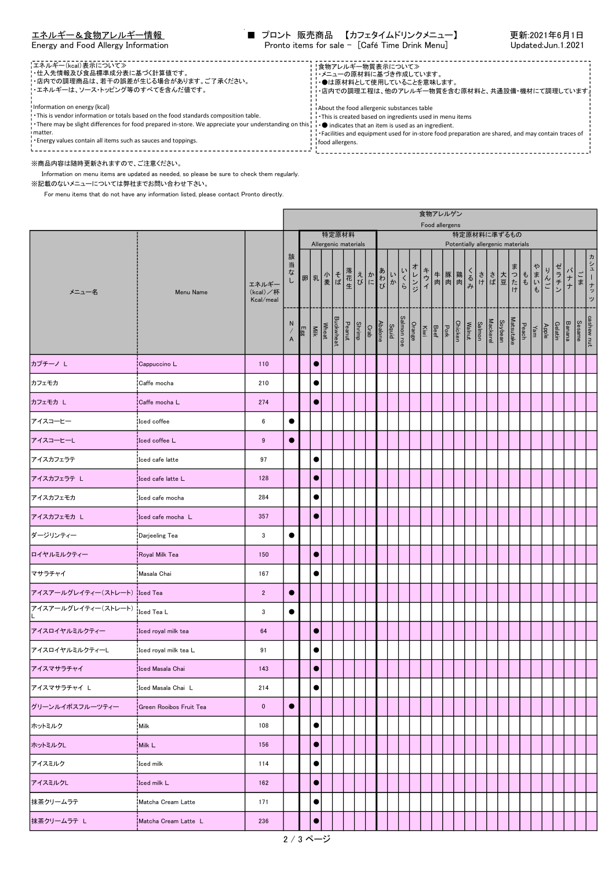| エネルギー&食物アレルギー情報 |  |  |
|-----------------|--|--|
|                 |  |  |

|  |  |  |  | Energy and Food Allergy Informatio |
|--|--|--|--|------------------------------------|
|--|--|--|--|------------------------------------|

| 【エネルギー(kcal)表示について≫<br>!・仕入先情報及び食品標準成分表に基づく計算値です。<br>!・店内での調理商品は、若干の誤差が生じる場合があります。ご了承ください。<br>!エネルギーは、ソース・トッピング等のすべてを含んだ値です。                                                                                                                                                                                                                                            | ‼食物アレルギー物質表示について≫<br>・・メニューの原材料に基づき作成しています。<br>・・●は原材料として使用していることを意味します。<br>・店内での調理工程は、他のアレルギー物質を含む原材料と、共通設備・機材にて調理しています。                                                                                                         |  |
|-------------------------------------------------------------------------------------------------------------------------------------------------------------------------------------------------------------------------------------------------------------------------------------------------------------------------------------------------------------------------|-----------------------------------------------------------------------------------------------------------------------------------------------------------------------------------------------------------------------------------|--|
| Information on energy (kcal)<br>. This is vendor information or totals based on the food standards composition table.<br>. There may be slight differences for food prepared in-store. We appreciate your understanding on this ; i . ● indicates that an item is used as an ingredient.<br>I matter.<br>. Energy values contain all items such as sauces and toppings. | i About the food allergenic substances table<br>This is created based on ingredients used in menu items<br>Facilities and equipment used for in-store food preparation are shared, and may contain traces of<br>i food allergens. |  |
| ※商品内容は随時更新されますので、ご注意ください。                                                                                                                                                                                                                                                                                                                                               |                                                                                                                                                                                                                                   |  |

Information on menu items are updated as needed, so please be sure to check them regularly.

※記載のないメニューについては弊社までお問い合わせ下さい。

For menu items that do not have any information listed, please contact Pronto directly.

|                               |                         |                                |                                                                                              |     |               |                                                     |       |  |                     |     |      |     | 食物アレルゲン<br>Food allergens                   |  |     |                              |         |                                                 |                                    |      |     |         |                  |    |                 |
|-------------------------------|-------------------------|--------------------------------|----------------------------------------------------------------------------------------------|-----|---------------|-----------------------------------------------------|-------|--|---------------------|-----|------|-----|---------------------------------------------|--|-----|------------------------------|---------|-------------------------------------------------|------------------------------------|------|-----|---------|------------------|----|-----------------|
|                               |                         |                                |                                                                                              |     |               | 特定原材料<br>Allergenic materials                       |       |  |                     |     |      |     |                                             |  |     |                              |         | 特定原材料に準ずるもの<br>Potentially allergenic materials |                                    |      |     |         |                  |    |                 |
| メニュー名                         | Menu Name               | エネルギー<br>(kcal)/杯<br>Kcal/meal | 該<br>当<br>な<br>し                                                                             |     |               |                                                     | えかわかび |  | いか                  | いくら | オレンジ | キウイ | 牛豚鶏肉                                        |  | くるみ |                              |         | さき 大豆 けいしょう しょうたい                               | $t$                                | やまいも | りんご | ゼラチン    | バナナ              | ごま | ヵ<br>シューナッ<br>ッ |
|                               |                         |                                | N<br>$\hspace{0.025cm}\rule{0.7pt}{0.1ex}\hspace{0.025cm}\hspace{0.025cm}$<br>$\overline{A}$ | Egg | Wheat<br>Milk | Abalone<br>Crab<br>Peanut<br>Buckwheat<br>Buckwheat |       |  | Salmon roe<br>Squid |     |      |     | Chicken<br>Pork<br>Beef<br>Orange<br>Orange |  |     | Mackerel<br>Salmon<br>Walnut | Soybean |                                                 | Apple<br>Yam<br>Peach<br>Matsutake |      |     | Gelatin | Sesame<br>Banana |    | cashew nut      |
| カプチーノ L                       | Cappuccino L            | 110                            |                                                                                              |     | $\bullet$     |                                                     |       |  |                     |     |      |     |                                             |  |     |                              |         |                                                 |                                    |      |     |         |                  |    |                 |
| カフェモカ                         | Caffe mocha             | 210                            |                                                                                              |     | $\bullet$     |                                                     |       |  |                     |     |      |     |                                             |  |     |                              |         |                                                 |                                    |      |     |         |                  |    |                 |
| カフェモカ L                       | Caffe mocha L           | 274                            |                                                                                              |     | $\bullet$     |                                                     |       |  |                     |     |      |     |                                             |  |     |                              |         |                                                 |                                    |      |     |         |                  |    |                 |
| アイスコーヒー                       | Iced coffee             | 6                              | $\bullet$                                                                                    |     |               |                                                     |       |  |                     |     |      |     |                                             |  |     |                              |         |                                                 |                                    |      |     |         |                  |    |                 |
| アイスコーヒーL                      | Iced coffee L           | 9                              |                                                                                              |     |               |                                                     |       |  |                     |     |      |     |                                             |  |     |                              |         |                                                 |                                    |      |     |         |                  |    |                 |
| アイスカフェラテ                      | Iced cafe latte         | 97                             |                                                                                              |     | $\bullet$     |                                                     |       |  |                     |     |      |     |                                             |  |     |                              |         |                                                 |                                    |      |     |         |                  |    |                 |
| アイスカフェラテ L                    | Iced cafe latte L       | 128                            |                                                                                              |     | $\bullet$     |                                                     |       |  |                     |     |      |     |                                             |  |     |                              |         |                                                 |                                    |      |     |         |                  |    |                 |
| アイスカフェモカ                      | Iced cafe mocha         | 284                            |                                                                                              |     | $\bullet$     |                                                     |       |  |                     |     |      |     |                                             |  |     |                              |         |                                                 |                                    |      |     |         |                  |    |                 |
| アイスカフェモカ L                    | Iced cafe mocha L       | 357                            |                                                                                              |     | $\bullet$     |                                                     |       |  |                     |     |      |     |                                             |  |     |                              |         |                                                 |                                    |      |     |         |                  |    |                 |
| ダージリンティー                      | Darjeeling Tea          | 3                              |                                                                                              |     |               |                                                     |       |  |                     |     |      |     |                                             |  |     |                              |         |                                                 |                                    |      |     |         |                  |    |                 |
| ロイヤルミルクティー                    | Royal Milk Tea          | 150                            |                                                                                              |     | $\bullet$     |                                                     |       |  |                     |     |      |     |                                             |  |     |                              |         |                                                 |                                    |      |     |         |                  |    |                 |
| マサラチャイ                        | Masala Chai             | 167                            |                                                                                              |     | $\bullet$     |                                                     |       |  |                     |     |      |     |                                             |  |     |                              |         |                                                 |                                    |      |     |         |                  |    |                 |
| アイスアールグレイティー(ストレート) ilced Tea |                         | $\overline{2}$                 | $\bullet$                                                                                    |     |               |                                                     |       |  |                     |     |      |     |                                             |  |     |                              |         |                                                 |                                    |      |     |         |                  |    |                 |
| アイスアールグレイティー(ストレート)           | Iced Tea L              | 3                              | $\bullet$                                                                                    |     |               |                                                     |       |  |                     |     |      |     |                                             |  |     |                              |         |                                                 |                                    |      |     |         |                  |    |                 |
| アイスロイヤルミルクティー                 | Iced royal milk tea     | 64                             |                                                                                              |     | $\bullet$     |                                                     |       |  |                     |     |      |     |                                             |  |     |                              |         |                                                 |                                    |      |     |         |                  |    |                 |
| アイスロイヤルミルクティーし                | Iced royal milk tea L   | 91                             |                                                                                              |     | $\bullet$     |                                                     |       |  |                     |     |      |     |                                             |  |     |                              |         |                                                 |                                    |      |     |         |                  |    |                 |
| アイスマサラチャイ                     | Iced Masala Chai        | 143                            |                                                                                              |     |               |                                                     |       |  |                     |     |      |     |                                             |  |     |                              |         |                                                 |                                    |      |     |         |                  |    |                 |
| アイスマサラチャイ L                   | Iced Masala Chai L      | 214                            |                                                                                              |     | $\bullet$     |                                                     |       |  |                     |     |      |     |                                             |  |     |                              |         |                                                 |                                    |      |     |         |                  |    |                 |
| グリーンルイボスフルーツティー               | Green Rooibos Fruit Tea | $\mathbf 0$                    | $\bullet$                                                                                    |     |               |                                                     |       |  |                     |     |      |     |                                             |  |     |                              |         |                                                 |                                    |      |     |         |                  |    |                 |
| ホットミルク                        | Milk                    | 108                            |                                                                                              |     | $\bullet$     |                                                     |       |  |                     |     |      |     |                                             |  |     |                              |         |                                                 |                                    |      |     |         |                  |    |                 |
| ホットミルクL                       | Milk L                  | 156                            |                                                                                              |     | $\bullet$     |                                                     |       |  |                     |     |      |     |                                             |  |     |                              |         |                                                 |                                    |      |     |         |                  |    |                 |
| アイスミルク                        | Iced milk               | 114                            |                                                                                              |     | $\bullet$     |                                                     |       |  |                     |     |      |     |                                             |  |     |                              |         |                                                 |                                    |      |     |         |                  |    |                 |
| アイスミルクレ                       | Iced milk L             | 162                            |                                                                                              |     | $\bullet$     |                                                     |       |  |                     |     |      |     |                                             |  |     |                              |         |                                                 |                                    |      |     |         |                  |    |                 |
| 抹茶クリームラテ                      | Matcha Cream Latte      | 171                            |                                                                                              |     | $\bullet$     |                                                     |       |  |                     |     |      |     |                                             |  |     |                              |         |                                                 |                                    |      |     |         |                  |    |                 |
| 抹茶クリームラテ L                    | Matcha Cream Latte L    | 236                            |                                                                                              |     | $\bullet$     |                                                     |       |  |                     |     |      |     |                                             |  |     |                              |         |                                                 |                                    |      |     |         |                  |    |                 |